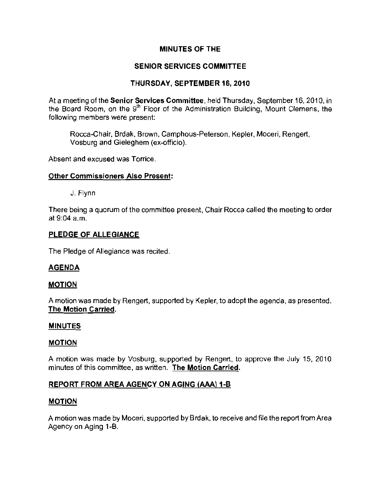# **MINUTES OF THE**

# **SENIOR SERVICES COMMITTEE**

## **THURSDAY, SEPTEMBER 16, 2010**

At a meeting of the **Senior Services Committee**, held Thursday, September 16, 2010, in the Board Room, on the  $9<sup>th</sup>$  Floor of the Administration Building, Mount Clemens, the **following members were present:** 

Rocca-Chair, Brdak, Brown, Camphous-Peterson, Kepler, Moceri, Rengert, Vosburg and Gieleghem (ex-officio).

Absent and excused was Torrice.

## **Other Commissioners Also Present:**

J. Flynn

**There** being a quorum of the committee present, Chair Rocca called the meeting to order at 9:04 a.m.

#### **PLEDGE OF ALLEGIANCE**

**The** Pledge of Allegiance was recited.

## **AGENDA**

#### **MOTION**

A motion was made by Rengert, supported by Kepler, to adopt the agenda, as presented. **The Motion Carried.** 

#### **MINUTES**

#### **MOTION**

A motion was made by Vosburg, supported by Rengert, to approve the July 15, 2010 **minutes of this committee, as written. The Motion Carried.** 

## **REPORT FROM AREA AGENCY ON AGING (AAAj1-B**

## **MOTION**

A motion was made by Moceri, supported by Brdak, to receive and file the report from Area Agency on Aging 1-B.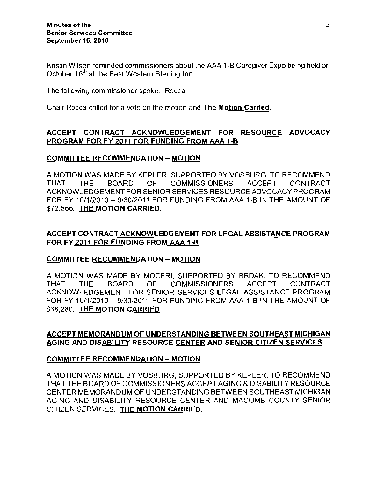Kristin Wilson reminded commissioners about the AAA 1-8 Caregiver Expo being held on October 16<sup>th</sup> at the Best Western Sterling Inn.

The following commissioner spoke: Rocca.

Chair Rocca called for a vote on the motion and The Motion Carried.

# ACCEPT CONTRACT ACKNOWLEDGEMENT FOR RESOURCE ADVOCACY PROGRAM FOR FY 2011 FOR FUNDING FROM AAA 1-B

## COMMITTEE RECOMMENDATION - MOTION

A MOTION WAS MADE BY KEPLER, SUPPORTED BY VOSBURG, TO RECOMMEND THAT THE BOARD OF COMMISSIONERS ACCEPT CONTRACT ACKNOWLEDGEMENT FOR SENIOR SERVICES RESOURCE ADVOCACY PROGRAM FOR FY 10/1/2010 - 9/30/2011 FOR FUNDING FROM AAA 1-B IN THE AMOUNT OF \$72,566. THE MOTION CARRIED.

# ACCEPT CONTRACT ACKNOWLEDGEMENT FOR LEGAL ASSISTANCE PROGRAM FOR FY 2011 FOR FUNDING FROM AAA 1-B

## COMMITTEE RECOMMENDATION - MOTION

A MOTION WAS MADE BY MOCERI, SUPPORTED BY BRDAK, TO RECOMMEND THAT THE BOARD OF COMMISSIONERS ACCEPT CONTRACT ACKNOWLEDGEMENT FOR SENIOR SERVICES LEGAL ASSISTANCE PROGRAM FOR FY 10/1/2010 - 9/30/2011 FOR FUNDING FROM AAA 1-B IN THE AMOUNT OF \$38,280. THE MOTION CARRIED.

# ACCEPT MEMORANDUM OF UNDERSTANDING BETWEEN SOUTHEAST MICHIGAN AGING AND DISABILITY RESOURCE CENTER AND SENIOR CITIZEN SERVICES

#### COMMITTEE RECOMMENDATION - MOTION

A MOTION WAS MADE BY VOSBURG, SUPPORTED BY KEPLER, TO RECOMMEND THAT THE BOARD OF COMMISSIONERS ACCEPT AGING & DISABILITY RESOURCE CENTER MEMORANDUM OF UNDERSTANDING BETWEEN SOUTHEAST MICHIGAN AGING AND DISABILITY RESOURCE CENTER AND MACOMB COUNTY SENIOR CITIZEN SERVICES. THE MOTION CARRIED.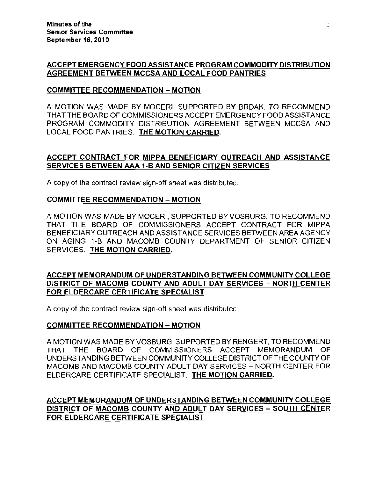## ACCEPT EMERGENCY FOOD ASSISTANCE PROGRAM COMMODITY DISTRIBUTION AGREEMENT BETWEEN MCCSA AND LOCAL FOOD PANTRIES

## COMMITIEE RECOMMENDATION - MOTION

A MOTION WAS MADE BY MOCERI, SUPPORTED BY BRDAK, TO RECOMMEND THAT THE BOARD OF COMMISSIONERS ACCEPT EMERGENCY FOOD ASSISTANCE PROGRAM COMMODITY DISTRIBUTION AGREEMENT BETWEEN MCCSA AND LOCAL FOOD PANTRIES. THE MOTION CARRIED.

## ACCEPT CONTRACT FOR MIPPA BENEFICIARY OUTREACH AND ASSISTANCE SERVICES BETWEEN AAA 1-B AND SENIOR CITIZEN SERVICES

A copy of the contract review sign-off sheet was distributed.

## COMMITTEE RECOMMENDATION - MOTION

A MOTION WAS MADE BY MOCERI, SUPPORTED BYVOSBURG, TO RECOMMEND THAT THE BOARD OF COMMISSIONERS ACCEPT CONTRACT FOR MIPPA BENEFICIARY OUTREACH AND ASSISTANCE SERVICES BETWEEN AREA AGENCY ON AGING 1-B AND MACOMB COUNTY DEPARTMENT OF SENIOR CITIZEN SERVICES. THE MOTION CARRIED.

## ACCEPT MEMORANDUM OF UNDERSTANDING BETWEEN COMMUNITY COLLEGE DISTRICT OF MACOMB COUNTY AND ADULT DAY SERVICES - NORTH CENTER FOR ELDERCARE CERTIFICATE SPECIALIST

A copy of the contract review sign-off sheet was distributed.

## COMMITTEE RECOMMENDATION - MOTION

A MOTION WAS MADE BY VOSBURG, SUPPORTED BY RENGERT, TO RECOMMEND THAT THE BOARD OF COMMISSIONERS ACCEPT MEMORANDUM OF UNDERSTANDING BETWEEN COMMUNITY COLLEGE DISTRICT OF THE COUNTY OF MACOMB AND MACOMB COUNTY ADULT DAY SERVICES - NORTH CENTER FOR ELDERCARE CERTIFICATE SPECIALIST. THE MOTION CARRIED.

ACCEPT MEMORANDUM OF UNDERSTANDING BETWEEN COMMUNITY COLLEGE DISTRICT OF MACOMB COUNTY AND ADULT DAY SERVICES - SOUTH CENTER FOR ELDERCARE CERTIFICATE SPECIALIST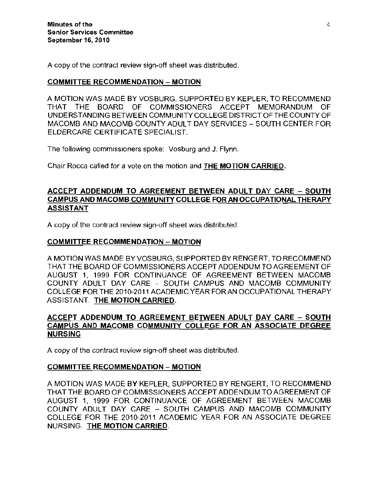A copy of the contract review sign-off sheet was distributed.

## COMMITTEE RECOMMENDATION - MOTION

A MOTION WAS MADE BY VOSBURG, SUPPORTED BY KEPLER, TO RECOMMEND THAT THE BOARD OF COMMISSIONERS ACCEPT MEMORANDUM OF UNDERSTANDING BETWEEN COMMUNITY COLLEGE DISTRICT OF THE COUNTY OF MACOMB AND MACOMB COUNTY ADULT DAY SERVICES - SOUTH CENTER FOR ELDERCARE CERTIFICATE SPECIALIST.

The following commissioners spoke: Vosburg and J. Flynn.

Chair Rocca called for a vote on the motion and THE MOTION CARRIED.

## ACCEPT ADDENDUM TO AGREEMENT BETWEEN ADULT DAY CARE - SOUTH CAMPUS AND MACOMB COMMUNITY COLLEGE FOR AN OCCUPATIONAL THERAPY ASSISTANT

A copy of the contract review sign-off sheet was distributed.

# COMMITTEE RECOMMENDATION - MOTION

A MOTION WAS MADE BY VOSBURG, SUPPORTED BY RENGERT, TO RECOMMEND THAT THE BOARD OF COMMISSIONERS ACCEPT ADDENDUM TO AGREEMENT OF AUGUST 1, 1999 FOR CONTINUANCE OF AGREEMENT BETWEEN MACOMB COUNTY ADULT DAY CARE - SOUTH CAMPUS AND MACOMB COMMUNITY COLLEGE FOR THE 2010-2011 ACADEMIC YEAR FORAN OCCUPATIONAL THERAPY ASSISTANT. THE MOTION CARRIED.

# ACCEPT ADDENDUM TO AGREEMENT BETWEEN ADULT DAY CARE - SOUTH CAMPUS AND MACOMB COMMUNITY COLLEGE FOR AN ASSOCIATE DEGREE NURSING

A copy of the contract review sign-off sheet was distributed.

## COMMITTEE RECOMMENDATION - MOTION

A MOTION WAS MADE BY KEPLER, SUPPORTED BY RENGERT, TO RECOMMEND THAT THE BOARD OF COMMISSIONERS ACCEPT ADDENDUM TO AGREEMENT OF AUGUST 1, 1999 FOR CONTINUANCE OF AGREEMENT BETWEEN MACOMB COUNTY ADULT DAY CARE - SOUTH CAMPUS AND MACOMB COMMUNITY COLLEGE FOR THE 2010-2011 ACADEMIC YEAR FOR AN ASSOCIATE DEGREE NURSING. THE MOTION CARRIED.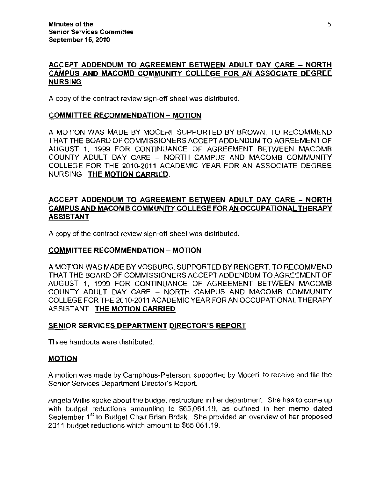# ACCEPT ADDENDUM TO AGREEMENT BETWEEN ADULT DAY CARE - NORTH CAMPUS AND MACOMB COMMUNITY COLLEGE FOR AN ASSOCIATE DEGREE NURSING

A copy of the contract review sign-off sheet was distributed.

#### COMMITTEE RECOMMENDATION - MOTION

A MOTION WAS MADE BY MOCERI, SUPPORTED BY BROWN. TO RECOMMEND THAT THE BOARD OF COMMISSIONERS ACCEPT ADDENDUM TO AGREEMENT OF AUGUST 1. 1999 FOR CONTINUANCE OF AGREEMENT BETWEEN MACOMB COUNTY ADULT DAY CARE - NORTH CAMPUS AND MACOMB COMMUNITY COLLEGE FOR THE 2010-2011 ACADEMIC YEAR FOR AN ASSOCIATE DEGREE NURSING. THE MOTION CARRIED.

## ACCEPT ADDENDUM TO AGREEMENT BETWEEN ADULT DAY CARE - NORTH CAMPUS AND MACOMB COMMUNITY COLLEGE FOR AN OCCUPATIONAL THERAPY ASSISTANT

A copy of the contract review sign-off sheel was distributed.

## COMMITTEE RECOMMENDATION - MOTION

A MOTION WAS MADE BY VOSBURG. SUPPORTED BY RENGERT. TO RECOMMEND THAT THE BOARD OF COMMISSIONERS ACCEPT ADDENDUM TO AGREEMENT OF AUGUST 1. 1999 FOR CONTINUANCE OF AGREEMENT BETWEEN MACOMB COUNTY ADULT DAY CARE - NORTH CAMPUS AND MACOMB COMMUNITY COLLEGE FOR THE 2010-2011 ACADEMIC YEAR FOR AN OCCUPATIONAL THERAPY ASSISTANT. THE MOTION CARRIED.

## SENIOR SERVICES DEPARTMENT DIRECTOR'S REPORT

Three handouts were distributed.

#### **MOTION**

A motion was made by Camphous-Peterson, supported by Moceri, to receive and file the Senior Services Department Director's Report.

Angela Willis spoke about the budget restruclure in her department. She has to come up with budget reductions amounting to \$65,061.19, as outlined in her memo dated September 1<sup>st</sup> to Budget Chair Brian Brdak. She provided an overview of her proposed 2011 budget reductions which amount to \$65,061.19.